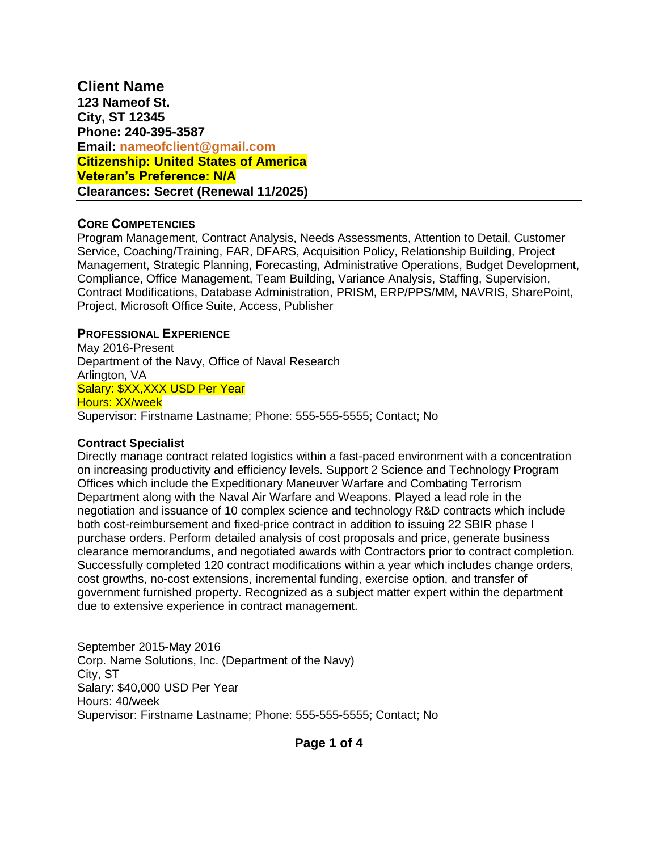**Client Name 123 Nameof St. City, ST 12345 Phone: 240-395-3587 Email: [nameofclient@gmail.com](mailto:nameofclient@gmail.com) Citizenship: United States of America Veteran's Preference: N/A Clearances: Secret (Renewal 11/2025)**

## **CORE COMPETENCIES**

Program Management, Contract Analysis, Needs Assessments, Attention to Detail, Customer Service, Coaching/Training, FAR, DFARS, Acquisition Policy, Relationship Building, Project Management, Strategic Planning, Forecasting, Administrative Operations, Budget Development, Compliance, Office Management, Team Building, Variance Analysis, Staffing, Supervision, Contract Modifications, Database Administration, PRISM, ERP/PPS/MM, NAVRIS, SharePoint, Project, Microsoft Office Suite, Access, Publisher

# **PROFESSIONAL EXPERIENCE**

May 2016-Present Department of the Navy, Office of Naval Research Arlington, VA Salary: \$XX, XXX USD Per Year Hours: XX/week Supervisor: Firstname Lastname; Phone: 555-555-5555; Contact; No

## **Contract Specialist**

Directly manage contract related logistics within a fast-paced environment with a concentration on increasing productivity and efficiency levels. Support 2 Science and Technology Program Offices which include the Expeditionary Maneuver Warfare and Combating Terrorism Department along with the Naval Air Warfare and Weapons. Played a lead role in the negotiation and issuance of 10 complex science and technology R&D contracts which include both cost-reimbursement and fixed-price contract in addition to issuing 22 SBIR phase I purchase orders. Perform detailed analysis of cost proposals and price, generate business clearance memorandums, and negotiated awards with Contractors prior to contract completion. Successfully completed 120 contract modifications within a year which includes change orders, cost growths, no-cost extensions, incremental funding, exercise option, and transfer of government furnished property. Recognized as a subject matter expert within the department due to extensive experience in contract management.

September 2015-May 2016 Corp. Name Solutions, Inc. (Department of the Navy) City, ST Salary: \$40,000 USD Per Year Hours: 40/week Supervisor: Firstname Lastname; Phone: 555-555-5555; Contact; No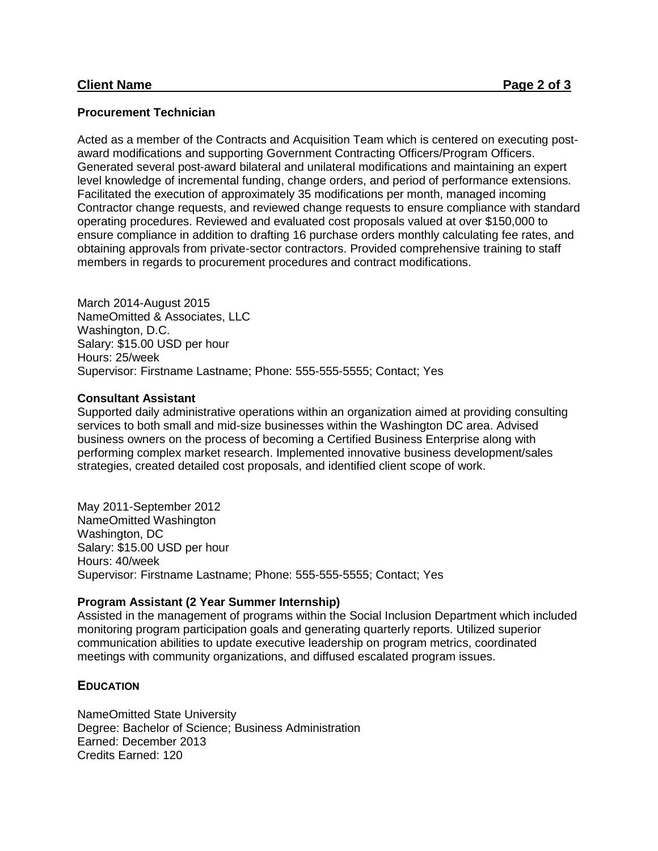#### **Procurement Technician**

Acted as a member of the Contracts and Acquisition Team which is centered on executing postaward modifications and supporting Government Contracting Officers/Program Officers. Generated several post-award bilateral and unilateral modifications and maintaining an expert level knowledge of incremental funding, change orders, and period of performance extensions. Facilitated the execution of approximately 35 modifications per month, managed incoming Contractor change requests, and reviewed change requests to ensure compliance with standard operating procedures. Reviewed and evaluated cost proposals valued at over \$150,000 to ensure compliance in addition to drafting 16 purchase orders monthly calculating fee rates, and obtaining approvals from private-sector contractors. Provided comprehensive training to staff members in regards to procurement procedures and contract modifications.

March 2014-August 2015 NameOmitted & Associates, LLC Washington, D.C. Salary: \$15.00 USD per hour Hours: 25/week Supervisor: Firstname Lastname; Phone: 555-555-5555; Contact; Yes

#### **Consultant Assistant**

Supported daily administrative operations within an organization aimed at providing consulting services to both small and mid-size businesses within the Washington DC area. Advised business owners on the process of becoming a Certified Business Enterprise along with performing complex market research. Implemented innovative business development/sales strategies, created detailed cost proposals, and identified client scope of work.

May 2011-September 2012 NameOmitted Washington Washington, DC Salary: \$15.00 USD per hour Hours: 40/week Supervisor: Firstname Lastname; Phone: 555-555-5555; Contact; Yes

#### **Program Assistant (2 Year Summer Internship)**

Assisted in the management of programs within the Social Inclusion Department which included monitoring program participation goals and generating quarterly reports. Utilized superior communication abilities to update executive leadership on program metrics, coordinated meetings with community organizations, and diffused escalated program issues.

## **EDUCATION**

NameOmitted State University Degree: Bachelor of Science; Business Administration Earned: December 2013 Credits Earned: 120